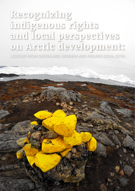# **Recognizing indigenous rights and local perspectives on Arctic development:**

Lessons from Greenland, Norway and Finland (2016–2018)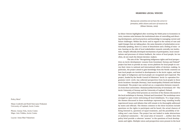Policy Brief

Marjo Lindroth and Heidi Sinevaara-Niskanen University of Lapland, Arctic Centre

Photos: Joonas Vola, Arctic Centre Maps: Arto Vitikka, Arctic Centre

Layout: Anna-Mari Nukarinen

## **Hearing local voices**

*Bureaucrats sometimes do not have the correct in formation, while citizens and users of resources do.*  (Elinor Ostrom, 2009)

As Elinor Ostrom highlighted after receiving the Nobel prize in Economics in 2009, tensions exist between the institutional aims of controlling and direct ing development, and local practices and knowledge in managing current and future challenges. Within the Arctic and in regard to the variety of vast and rapid changes that are taking place, the same dynamics of polarization occur. Generally speaking, there is a sense of detachment and a feeling of miss- or non-hearing on the side of local stakeholders towards centrally run institu tions. Despite officially developed mechanisms of participation, local consul tations and processes of citizen feedback, the voices of local people, far too often, do not reach the distant decision-makers.

The aim of the "Recognizing indigenous rights and local perspec tives on Arctic development: Lessons from Greenland, Norway and Finland" project has been to provide an easy-access platform for local people to con vey their views to national and international tables of decision-making. In particular, the project aimed to gain knowledge from the Nordic countries on how local people are involved in developments in the Arctic region, and how the rights of indigenous and local people are recognized and respected. The project, funded by the Nordic Council of Ministers' Arctic Co-operation Pro gramme (2016-2018), has collected perspectives from local people in three Arctic locations: Karasjok (Norway), Inari municipality (Finland) and Ilulissat (Greenland). The project was carried out as a cooperation between research ers from three universities: Ilisimatusarfik/University of Greenland, UiT -The Arctic University of Norway and the University of Lapland, Finland.

This policy brief presents an overview of the themes discussed in the local workshops in Norway, Finland and Greenland. The workshops were arranged as open events welcoming all local inhabitants. To a large extent, the themes discussed in these workshops represent long-standing locally experienced issues and debates that still remain to be thoroughly addressed by states and officials. The themes common to the three locations include questions on the rights to participate and be heard, the actual chances of being listened to, questions of equal treatment, and the possibility of de ciding one's own future. The project has not looked to make abstractions or analytical summaries – the usual aims of research –, neither does this policy brief provide a coherent 'answer' to the questions of local develop ments and rights. Multiple voices and perspectives were present in the local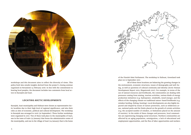

workshops and this document aims to reflect the diversity of views. This policy brief also entails insights derived from the project's closing seminar organized on Rovaniemi 14 February 2018. In line with the commitment to hearing local peoples, the document includes two comments from local actors in Karasjok and Inari.

# **Locating Arctic developments**

Karasjok, Inari municipality and Ilulissat were chosen as representative Arctic localities due to their high level of regional significance, and also their roles as sites of economic, political and cultural development. The workshop in Karasjok was arranged in 2016 (30 September). Three further workshops were organized in 2017. Two of these took place in the municipality of Inari, one in the town of Ivalo (23 January) that forms the administrative center of the municipality, and one in the village of Inari (24 January) that is the home



of the Finnish Sámi Parliament. The workshop in Ilulissat, Greenland took

place on 15 September 2017.

All of these three locations are balancing the growing changes in the environment, economic structures, issues of demography and well-being, as well as questions of cultural continuity and identity (Arctic Human Development Report 2015; Megatrends 2011). For example, in terms of the use of natural resources and livelihoods, the communities are dealing with pressures coming from mining, tourism activities, various kinds of energy production initiatives (e.g. hydropower, windmills, wood energy), and the effects of the changing climate on traditional nature-based livelihoods (e.g. reindeer herding, fishing, hunting). Local developments are also highly impacted and shaped by issues of nature protection, such as wilderness areas, national parks and the limits placed on the growth of certain activities (e.g. the accepted number of reindeer, or limitations placed on the amount of tourists). In the midst of these changes and pressures, local communities are experiencing changing social structures. Northern communities are affected by an aging population, outmigration, a lack of educational and employment opportunities, and the flux of labor opportunities and workers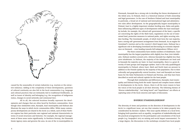

caused by the seasonality of certain industries (e.g. tourism or the extractive industry). Adding to the complexity of these developments, questions of cultural continuity are also felt in the local communities (e.g. language and cultural practices that are intimately tied to traditional livelihoods), as well as issues of identity and belonging (e.g. the recognition of indigenous status, changes in social networks and communal ties).

All in all, the selected locations broadly represent the developments and changes that are often faced by Northern communities. Even though clear similarities exist, Karasjok, Inari municipality and Ilulissat also illustrate the ways in which Arctic communities differ. While many contemporary developments are shared in the Arctic as a whole, each of these Northern regions has their particular own regional and national characteristics in terms of social structures and histories. For example, the regional management of these areas varies significantly. In Northern Norway, the Finnmark Estate Agency owns and governs the area. As one of the 19 municipalities in

Finnmark, Karasjok has a strong role in deciding the future development of the whole area. In Finland, there is a historical mixture of both ownership and legal governance. In the case of Northern Finland and Inari municipality in particular, a broad set of national and international legal and administrative rules affect development. As the geographically largest municipality in Finland, Inari is a highly important reindeer herding area. Rules and guidelines influencing different types of developments within the Inari municipality include, for example, the cultural self-government of the Sami, a specific act concerning the rights of the Skolt Sami, regulations on the use of stateowned land, protection measures in national parks, and rights securing reindeer herding. The Greenlandic people, of which Inuit form the vast majority, have a strong self-government arrangement from Denmark. As an engine for Greenland's tourism and as the country's third largest town, Ilulissat has a significant role in developing Greenland and decreasing its economic dependence on Denmark – even heading towards full independence (Wilson 2017).

The three communities have similar numbers of inhabitants. Inari municipality has the largest population with slightly less than 7000 inhabitants. Ilulissat numbers around 4700, whereas Karasjok has slightly less than 3000 inhabitants. In Ilulissat, the majority of the inhabitants are Inuit and in Karasjok the majority are Sami. In Inari municipality, there is a great diversity of Sami groups and languages spoken. Inari is the only quadrilingual municipality in Finland, where Inari, Skolt and North Sami are present in addition to the Finnish spoken by the majority of the population. Due to their culturally and geographically central location, Inari and Karasjok are home bases for the Sámi Parliaments in Finland and Norway, and they have been described as social and cultural capitals for the Sami people.

Through their similarities and differences, Karasjok, Inari municipality and Ilulissat bring forth the multi-layered and complex issues related to developments in the Arctic. Hence, there is all the more reason to hear the voices of the local people in all their diversity. The following themes of 'diverse stakeholdership', 'not being heard' and 'hopefulness' are efforts at capturing some of the local concerns and topics of discussion.

# **Diverse stakeholdership**

The diversity of views and positions on the direction of developments in the Arctic is a significant issue, yet one that remains to be taken properly into consideration by decision-makers. This issue sparks debates on a local level, bringing forth questions such as equality, recognition of stakeholdership and the practical arrangements for the participation and consultation of the local people (e.g. Suopajärvi 2015 on mining and social impact assessments). To a large degree, the discussions in the workshops revealed how local people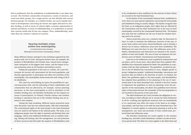find it problematic that the multiplicity of stakeholdership is not taken into account. The Northern communities incorporate a variety of interests, and social and ethnic groups, but a single person can also identify with several interests groups. For example, as a reindeer herder, one can be equally interested in developments concerning the forests and rights allocated for reindeer herding, as well as issues of cultural rights, economic opportunities in tourism and fishery. In terms of stakeholdership, it is problematic to assume that a person would only fit into one category. Thus, stakeholdership, more often than not, involves a mixture of concerns.

Many different themes emerged in the workshop organized by this project early 2017 in Ivalo. Among the themes were, for example, the position of Metsähallitus (the Finnish state-owned forest management enterprise) as the biggest land-owner, and the impact of nature protection areas on the business and industry sectors.

Taking the population of the area as a whole, the Local Government Act secures self-government for the local population, and thereby opportunities to participate and affect the activities of the municipality. The municipality works toward the well-being of all of its inhabitants.

The Land Use and Building Act gives the possibility for special interaction with, and the informing of those stakeholders and communities that are affected by, for example, various planning processes. In the Inari municipality as well as elsewhere in the reindeer herding area, the Reindeer Husbandry Act has impacts on issues of participation. In Finland, Finnish citizens and reindeer herding co-operatives that are in the reindeer herding area are allowed to own reindeer.

During the Ivalo workshop, different nature protection areas were discussed. Inari has two national parks, UKK and Lemmenjoki. The constitutional rights of the Sami people in the Sami Homeland Area are stated in the bylaws of the national parks. The Sami, as an indigenous people, have the right to maintain and develop their own language, culture and traditional livelihoods such as reindeer herding, fishing and hunting. Also the management, use and protection of those resources that fall under the auspices of Metsähallitus need

# **Hearing multiple views within one municipality**

*A comment from Anu Avaskari, Municipal Council of Inari municipality, Finland* to be coordinated so that conditions for the exercise of Sami culture are secured in the Sami Homeland Area.

In the bylaws of the Lemmenjoki National Park, established in 1956, there are some special regulations concerning the local people and inhabitants living in nearby villages. The bylaws recognize that the Sami, as an indigenous people, have rights that are affected by the Constitution and the Sámi Parliament Act in the area of Inari municipality covered by the Lemmenjoki National Park. The bylaws also state that the conditions for the use of land for reindeer herding need to be secured.

Nature protection areas are a common topic for discussion in Inari. In order to maintain the wilderness character of the area, to secure Sami culture and nature-based livelihoods, and to develop a diverse use of nature, wilderness areas have been established. The Wilderness Act came into force in 1991. The wilderness areas of Kaldoaivi, Muotkatunturi and Paistunturi are situated in the municipalities of Inari and Utsjoki. The area of Inari encompasses the wilderness areas of Vätsäri, Tsarmitunturi and Hammastunturi.

Land use in the wilderness areas is guided by maintenance and use plans, and in recent years, these plans have been updated. Metsähallitus has voluntarily adopted the Akwé: Kon guidelines in cooperation with the Sámi parliament. The guidelines, accepted by parties to the UN Biodiversity Convention in 2004, obligate parties to protect indigenous peoples' traditional knowledge, innovations and practices that are linked to the diversity of nature. In Finland, the Akwé: Kon guidelines apply to the Sami people, and Metsähallitus has adopted these guidelines in the planning of the use of stateowned land in the Sami Homeland Area. Finland is the first country to implement the guidelines in land use planning. From the perspective of the municipality, the Akwé: Kon guidelines have become topics of discussion because the remainder of the local population is not involved in the process at the same level.

The Sámi Parliament Act (1995) includes the obligation to consult, according to which officials are to consult the Sámi Parliament in all far-reaching and significant measures that can immediately or in a particular way affect the status of the Sami as an indigenous people, and that have to do with the Sami Homeland Area. The obligation to consult applies to community planning as well as the management, use, lease and surrender of state-owned land, protected land and wilderness areas.

The Reindeer Husbandry Act (1990) applies in the reindeer herding area, and with certain limitations, reindeer can also be herded on private land. The Skolt Act (1995) applies to the Skolt Sami and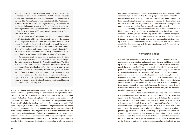The recognition of stakeholdership was among the key themes in the workshops, and local people brought up the contemporary example of the establishment of new fishing regulations in the Teno river, a significant salmon river in Finland and Norway. People in both countries were critical of local inhabitants and their concerns being overlooked in the agreement process driven by officials in the Southern capitals of the respective countries (YLE news 2016; 2017). In a similar way, the Akwé: Kon guidelines utilised by the Finnish forest agency in the management of state-owned land were discussed as an example of the selective ways in which stakeholderships are currently being recognized (Application of Akwé: Kon Guidelines in the Management and Land Use Plan for the Hammastunturi Wilderness Area 2013). The understanding of stakeholders as only comprising of states and indigenous groups oversimplifies, polarizes and divides the understanding of who the relevant

is in force in the Skolt area. The benefits deriving from the Skolt Act do not apply to other Sami. The Mining Act (2011) includes clause 38 on the Sami Homeland area, the Skolt area and the reindeer herding area. The Fishing Act came into force in 2016. The Finnish constitution secures the cultural and linguistic self-government of the Sami as an indigenous people in the Sami Homeland Area. Everyman's rights were also a topic for discussion in the Inari workshop, as there have been some problematic situations with these rights in connection with tourism.

Local people are of the opinion that the population should be equal before the law. The long-standing dispute over who belongs to the indigenous people is a topic discussed in different contexts among the local people in Inari, and revolves around the issue of who is Sami. There are also views that see the differentiation of rights of the local and indigenous people as unconstitutional. In Inari, there are many inhabitants that identify themselves as indigenous, but have not gained an official recognition of their status.

As a conclusion, I can state that in the Inari area, the Sami have a stronger position in the processes of land use planning of the state-owned land through the Akwé: Kon guidelines. The Sámi Parliament Act and the Act on State Forest Enterprise secure the Sami a special participation in the planning and use of state-owned land. The Act on State Forest Enterprise specifically includes named rights of participation for the Skolt Sami. These rights do not apply to those people who lack the official recognition as being indigenous. The land use rights of reindeer herders are often seen as broad in relation to other livelihoods such as tourism, gold mining and different activity enterprises.

parties are. Even though indigenous peoples are a very important party to be consulted, by no means are they the only groups of local people whose traditional livelihoods (e.g. fishing, hunting, reindeer herding) and social and cultural ways of using the forest are impacted by various developments in land use. So, in order for local peoples to actually be heard (whether indigenous or not), a broader recognition of the variety of statuses is required.

According to the views of the local people, an unsolved issue that highly impacts the actual chances of local people being heard is the overall question of defining the stakeholders. Questions raised in the workshops included: How are people living in the area recognized as stakeholders? What is the role of people who do not live in the area but have historical and family links to it? Can a municipality act as a stakeholder? How are the roles of stakeholdership juxtaposed with the interests of states, and, for example, resource extraction industries?

## **Not being heard**

Another topic widely discussed was the contradiction between the formal mechanisms of consultation, and actually being listened to. This was brought up in relation to various development and consultation processes where local people have been or should have been involved. Ironically, as one participant in the workshops poignantly summarized, "local people have become accustomed to being served coffee and cake". What many of the consultation processes do is invite people to attend specific events, for example, concerning new energy projects, in order to fulfil the numeric requirement of having organized a local hearing. These hearings fulfil the letter of the law in terms of local consultation, but people feel that there is no actual chance of getting their message through or having an influence on development plans. Thus, it is the 'coffee and cake' that people get out of these events, and not any actual possibilities of participation.

The recent Teno river debate is a case in point. When drafting the new agreement, even the letter of the law in terms of consultation was ignored and the Finnish state failed to comply with its legal duty to consult the Sámi Parliament, which raised a lot criticism. The fact that the state was able to set aside the legal rights of the Sami meant effectually non-existing chances for other local people to be heard. The case of the Teno river is also descriptive of the way that time is allocated for hearing processes. Local people strongly criticized the way in which they are generally involved in discussing planned developments always rather later, when there is already a rush to proceed. The implication of this to local peoples is that they are expected to come up with a single voiced opinion to the matter at hand because, as the rhetoric goes, there is 'no time' to accommodate multiple views. As a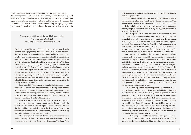The joint states of Norway and Finland have stated to grant virtually identical fishing rights to permanent residents and to non-residential Finnish cottage owners in Utsjoki municipality. The agreement to allow non-resident cottage owners in Finland the same fishing rights as the local residents have enjoyed for over 100 years will have negative effects on Sami cultural life in the river valley. The Tana River Fish Management (TF), Deanučázádaga guolástanhálddahus in Sámi, was established in March 2011 and is a local administrative body of the Norwegian side of the Tana River. The main tasks are of a private law character, like regulating the fishing activity, providing and organizing River Policing during the fishing season, being responsible for operating and managing the revenues from the sale of fishing licenses. These tasks were previously assigned to the County Governor of Finnmark.

Tana River Fish Management is organized with a group of nine members, where the local fishermen with net fishing rights appoint five. The Tana and Karasjok municipalities each appoint two representatives that are not in possession of net fishing rights. The term of office is four years. The Chairman and the deputy Chairman are elected by the Tana River Fish Management.

Shortly after the TF was established, Norway and Finland opened negotiations for new agreement for the fishing rules in the Tana river. The harvest rate for especially some salmon stocks in the river had been too high, leading to the depletion of those stocks. The old regulations were also not according to the precautionary principle, and new regulations were needed.

The Norwegian Ministry of climate- and environment were leading the negotiations at Norwegian side, but also the local management was a part of the Norwegian delegation. The Tana River

**The poor settling of Teno fishing rights**

*A comment from John Nystad, deputy mayor of Karasjok municipality, Norway*

result, people felt that the spirit of the law does not become a reality. As a consequence, local people described many administrative, legal and structural processes where they felt that they were not treated in a just and equal manner. There was disappointment and tiredness in the air, and due to the lack of success of formal processes in securing local people's participation, and the weak implementation of the spirit of the law, their trust in

### Fish Management had two representatives and the Sámi parliament

had one representative.

The representatives from the local and governmental level of the management had many small battles during the process. What were really the status of different stocks, how much reduction were needed to rebuild these stocks, what measures were needed, and which groups of fishermen had to carry the biggest reductions in access to the fisheries?

The toughest battles came, however, in the negotiations with the Finnish side. The never-ending story seemed to come to an end in the fall of 2015, but new elements appeared, and the agreement wasn´t signed by the Ministers in the two countries before September 2016. This happened after the Tana River Fish Management got new representatives in the late fall of 2015. The negotiations had been a mostly closed process for the public in the valley, and the new members had other views on the situation than their predecessors. Elements that had been through hard discussions early on in the negotiations reappeared. The governmental representatives were not willing to discuss these elements this late in the process, and this lead to a harsh climate between the governmental representatives and the local management as well as other local organizations. Also local governmental institutions like the Municipalities of Tana and Karasjok, the Sámi parliament and the County Council were negative to the process and the result from the negotiations. Especially the final part of the process met a lot of critics. The final parts of the agreement were agreed only between the governmental representatives and did not receive the approval from the local management. The parliaments in Norway and Finland still approved the agreement in the spring of 2017.

In the new agreement the management has aimed on reducing the harvest rate by 1/3, and this would probably be sufficient to re-establish all the stock at their management target in 1-2 salmon generation. The cutback in actual fishing time has for some fishermen become way more severe than that. Some netfishermen have experienced a cut back up to more than 80 % of fishing time when we consider that these fishermen earlier were fishing with two nets each and may only fish with one net now. The net fishing for salmon is an important part of a lifestyle for many inhabitants in the Tana valley on both side of the border, and the severe cutbacks for the local fishermen has met a lot of criticism.

Another group that had to reduce their fishing was the tourist anglers. On the Finnish side of the border there is established a major tourist fishing industry. Many families have their income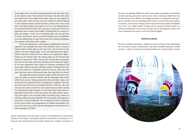from anglers that visit their camping grounds and rent their boats in the summer time. The numbers of visitors rose after the roads were built to the Tana valley in the 1960s, with e.g. 7000 anglers in the early 1980s. After the year 2000 the number of visitors fishing on the common border stretch has been around 7000-8000 most years, and these anglers have spent 30 000-40 000 fishing days on the common border of Tana river each year. A major part of the new agreement was to reduce the number of fishing days for tourist anglers. By setting a "roof" of 22 000 fishing days, the aim has been to reduce the harvest rate by one third and give more possibilities for local rodfishermen to enter their home river without standing in line together with those visitor anglers.

In the new agreement, a new group of rightsholders has been approved. One principle has earlier been absolute when it comes to fishing rights at both sides on the Tana river: You must live in the valley to use your fishing right. In the new agreement also rightsholders that live outside the river valley are recognized as rightsholders at the Finnish side. The fishing rights on the Finnish side depend on properties. When the persons owning these properties don´t live in the valley, they have also given up on using their rights. In the new agreement these rights are however recognized, and these right-holders may buy a limited number of fishing days from the tourist quota for a symbolic amount of money. They may own their own boat, and on their special days, they may fish all 24 hours.

 The approval of the new group of right-holders has been a hot topic for locals on both the Finnish and the Norwegian side. Never before have persons living outside the valley had these rights, and the locals have argued that this is breaking the traditions. The biggest issue has thus been of principal character. However, this new rule has also made it harder for the tourist business which already has experienced tough cutbacks. As one third of the tourist quota is appointed exclusively for this new group, the cabin owners, granting it the right to row and take guests on fishing trips, owners of existing small businesses together with local people will experience severe loss of their livelihoods. The consequences will be enormous for the Sami culture: the depopulation of Utsjoki municipality, the loss of the Sami way of life and the endangering of the existence of Sami language in Finland.

becomes increasingly difficult to invite and engage local people to participate in joint planning processes, and in some cases, reaching stakeholders has already proven to be difficult. The failing processes of negotiation and hearing one another end up providing fertile soil for controversies and conflicts to escalate, as the sense of being treated equally becomes eroded (Heinämäki et al. 2017, 517). Taken further, losing trust in societal structures leads to a weaker commitment to the society at large and its development. Hence, the issue of hearing local voices is not to be treated lightly.

# **Hopefulness**

The local residents described a number of issues as being of key importance for the future of their communities, and these included education, health services, cultural continuity and opportunities for young people. Instead



justice taking place has decreased. A sense of institutional and processual tiredness was evident, and people lacked the motivation to participate. In a long run, this situation does not benefit anyone for a number of reasons. It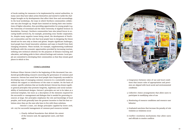of locals waiting for measures to be implemented by central authorities, in many cases they have taken action themselves and started to tackle the challenges brought on by developments that affect their lives and surroundings. In the local workshops, the ways in which Northern communities collaborate was also brought up. People have insisted on having their own institutions of higher education, thus providing opportunities for young people (e.g. the University of Greenland and the Sámi University of Applied Sciences in Kautokeino, Norway). Northern communities have also joined forces in securing health services by, for example, promoting cross-border cooperation. So, despite many negative issues being raised, the development of Northern communities and the role that local people have in designing the future should not be seen only as doom and gloom. Despite significant challenges, local people have found innovative solutions and ways to benefit from their changing situations. These include, for example, supplementing traditional livelihoods with the economic opportunities provided by increasing tourism, utilizing new technical solutions for the purposes of distance learning and education, and taking pride in their cultural heritage and customs. Local people are committed to developing their communities so that they remain good places in which to live.

#### **Conclusions**

Professor Elinor Ostrom (cited in the beginning of this document) has conducted groundbreaking research concerning the governance of common pool resources. Ostrom has noted how local people have frequently succeeded in developing ways of managing common resources in a sustainable manner, without the support or interference of the state or market. On the basis of context-specific solutions that are locally devised, Ostrom has drawn together general principles that promote longevity, legitimacy and social sustainability of institutional designs. Ostrom's principles are not to be taken as a universal template, but more as a description of the elements required for the successful co-management and dialogue that is needed for governing resources at large. Her principles emphasize the role and knowledge of local peoples, and locals generally have the greatest incentive to find the best solutions since they are the ones who have to live with those solutions.

Ostrom's (1990, 90) design principles (applied by Grove 2018, 118–119) for successful management of common pool resources include:

> 1. Clearly-defined boundaries that delimit the extent of the resource and, the appropriate users, and their rights



2. Congruence between rules of use and local conditions that insure rules of appropriation and provision are aligned with local social and environmental

3. Collective-choice arrangements that allow users to

4. Monitoring of resource conditions and resource user

- conditions
- participate in modifying rules of use
- behavior
- violation as violations occur
- and officials to resolve conflicts

5. Graduated sanctions that increase the penalty of rule

6. Conflict-resolution mechanisms that allow users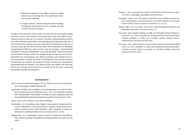- 7. Minimal recognition of the right to organize, which allows users to develop their own institutions without external challenge
- 8. In larger systems, nested enterprises allow multiple, overlapping organizations across a number of scales to carry out these functions

In light of the outcomes of the project, we find Ostrom's principles highly relevant as many of the debates concerning local views and rights for participation relate to (the use of) resources. Therefore, these principles could be used when defining stakeholders, acknowledging the importance and role of the local decision-making processes, defining the limitations for the use of resources (and the sanctions involved when these limitations are violated), recognizing the different roles of actors and, for example, communicating procedures among all stakeholders. Clear and forthright 'rules of the game' would benefit everyone, with local people having an equal say and real opportunities for participation, and officials gaining much needed local input and expertise. Overall, the issues of development that concern Northern communities are complex, but instead of trying to escape this complexity by oversimplifying the situation, one should accept and embrace the diversity. This is by no means an easy task, but a crucial one for the sake of securing sustainable and equal development.

### **References**

- Arctic Human Development Report. (2015). *Regional processes and global linkages.* Copenhagen: Nordisk Ministerråd.
- Application of Akwé: Kon Guidelines in the Management and Land Use Planfor the Hammastunturi Wilderness Area. 2013. Suvi Juntunen and Elisa Stolt. Metsähallitus Final Report. Available at: [https://julkaisut.metsa.fi/](https://julkaisut.metsa.fi/assets/pdf/lp/Muut/AkweKonraportti2013.pdf) [assets/pdf/lp/Muut/AkweKonraportti2013.pdf](https://julkaisut.metsa.fi/assets/pdf/lp/Muut/AkweKonraportti2013.pdf) (accessed 28 June 2018).

Grove, Kevin. 2018. *Resilience.* New York: Routledge.

- Heinämäki et al. Actualizing Sámi Rights: International Comparative Research. Publications of the government´s analysis, assessment and research activities 4/2017. Prime minister´s office. Available at: [https://ti](https://tietokayttoon.fi/julkaisu?pubid=16601)[etokayttoon.fi/julkaisu?pubid=16601](https://tietokayttoon.fi/julkaisu?pubid=16601) (accessed June 29, 2018).
- Megatrends. 2011. Copenhagen: Nordic Council of Ministers. Available at: <http://www.nordregio.org/publications/megatrends>(accessed 29 June 2018).

Ostrom, E. 1990. *Governing the Commons: The Evolution of Institutions for Collec-*

*tive Action.* Cambridge: Cambridge University Press.

- Suopajärvi, Leena. 2015. The right to mine? Discourse analysis of social impact assessments of mining projects in Finnish Lapland in the 2000s. *Barents Studies: Peoples, Economies and Politics 1*(3): 36-54.
- Wilson, Page. 2017. An Arctic 'cold rush'? Understanding Greenland's (in) dependence question. *Polar Record 53*(5):1-8.
- YLE news. 2016. Utsjoki residents at odds over Tenojoki salmon fishing restrictions. 14.7.2016. Available at: [https://yle.fi/uutiset/osasto/news/](https://yle.fi/uutiset/osasto/news/utsjoki_residents_at_odds_over_tenojoki_salmon_fishing_restrictions/9024157) utsjoki residents at odds over tenojoki salmon fishing restric[tions/9024157](https://yle.fi/uutiset/osasto/news/utsjoki_residents_at_odds_over_tenojoki_salmon_fishing_restrictions/9024157) (accessed 28 June 2018)
- YLE news. 2017. Sámi activists occupy island in protest at Tenojoki fishing rules. 13.7.2017. Available at: [https://yle.fi/uutiset/osasto/news/sami\\_](https://yle.fi/uutiset/osasto/news/sami_activists_occupy_island_in_protest_at_tenojoki_fishing_rules/9717) activists occupy island in protest at tenojoki fishing rules/9717 (accessed 28 June 2018)